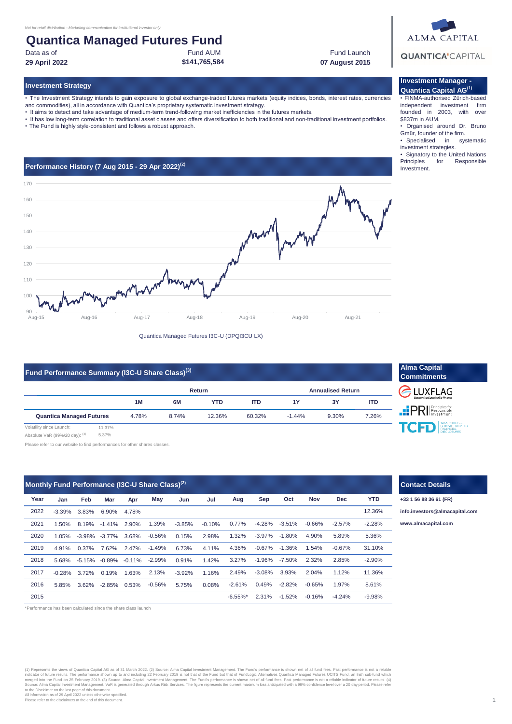## **Quantica Managed Futures Fund** Fund AUM

Data as of

**29 April 2022 07 August 2015**

### **Investment Strategy**

• The Investment Strategy intends to gain exposure to global exchange-traded futures markets (equity indices, bonds, interest rates, currencies

**\$141,765,584**

- and commodities), all in accordance with Quantica's proprietary systematic investment strategy.
- It aims to detect and take advantage of medium-term trend-following market inefficiencies in the futures markets.
- It has low long-term correlation to traditional asset classes and offers diversification to both traditional and non-traditional investment portfolios.
- The Fund is highly style-consistent and follows a robust approach.



Quantica Managed Futures I3C-U (DPQI3CU LX)

| Fund Performance Summary (I3C-U Share Class) <sup>(3)</sup> |        |       |       |            |            |                          |       |            |  |
|-------------------------------------------------------------|--------|-------|-------|------------|------------|--------------------------|-------|------------|--|
|                                                             |        |       |       | Return     |            | <b>Annualised Return</b> |       |            |  |
|                                                             |        | 1M    | 6M    | <b>YTD</b> | <b>ITD</b> | <b>1Y</b>                | 3Y    | <b>ITD</b> |  |
| <b>Quantica Managed Futures</b>                             |        | 4.78% | 8.74% | 12.36%     | 60.32%     | $-1.44%$                 | 9.30% | 7.26%      |  |
| Volatility since Launch:                                    | 11.37% |       |       |            |            |                          |       |            |  |

Absolute VaR (99%/20 day): (4) 5.37%

Please refer to our website to find performances for other shares classes.

| Monthly Fund Performance (I3C-U Share Class) <sup>(2)</sup> |          |          |                           |       |           |          |          |                        |           |           |          |            |            |
|-------------------------------------------------------------|----------|----------|---------------------------|-------|-----------|----------|----------|------------------------|-----------|-----------|----------|------------|------------|
| Year                                                        | Jan      | Feb      | Mar                       | Apr   | May       | Jun      | Jul      | Aug                    | Sep       | Oct       | Nov      | <b>Dec</b> | <b>YTD</b> |
| 2022                                                        | $-3.39%$ | 3.83%    | 6.90%                     | 4.78% |           |          |          |                        |           |           |          |            | 12.36%     |
| 2021                                                        | 1.50%    | 8.19%    | $-1.41%$                  | 2.90% | 1.39%     | $-3.85%$ | $-0.10%$ | 0.77%                  | $-4.28%$  | $-3.51%$  | $-0.66%$ | $-2.57%$   | $-2.28%$   |
| 2020                                                        | 1.05%    |          | $-3.98\% -3.77\%$         | 3.68% | $-0.56%$  | 0.15%    | 2.98%    | 1.32%                  | $-3.97\%$ | $-1.80%$  | 4.90%    | 5.89%      | 5.36%      |
| 2019                                                        | 4.91%    | $0.37\%$ | 7.62%                     | 2.47% | $-1.49\%$ | 6.73%    | 4.11%    | 4.36%                  | $-0.67\%$ | -1.36%    | 1.54%    | $-0.67\%$  | 31.10%     |
| 2018                                                        | 5.68%    |          | $-5.15\% -0.89\% -0.11\%$ |       | $-2.99\%$ | 0.91%    | 1.42%    | 3.27%                  | -1.96%    | -7.50%    | 2.32%    | 2.85%      | $-2.90%$   |
| 2017                                                        | $-0.28%$ | 3.72%    | 0.19%                     | 1.63% | 2.13%     | $-3.92%$ | 1.16%    | 2.49%                  | $-3.08%$  | 3.93%     | 2.04%    | 1.12%      | 11.36%     |
| 2016                                                        | 5.85%    | 3.62%    | $-2.85\%$ 0.53%           |       | $-0.56\%$ | 5.75%    | 0.08%    | $-2.61\%$              | 0.49%     | $-2.82\%$ | $-0.65%$ | 1.97%      | 8.61%      |
| 2015                                                        |          |          |                           |       |           |          |          | $-6.55\%$ <sup>*</sup> | 2.31%     | $-1.52\%$ | $-0.16%$ | $-4.24%$   | $-9.98%$   |

\*Performance has been calculated since the share class launch

(1) Represents the views of Quantica Capital AG as of 31 March 2022. (2) Source: Alma Capital Investment Management. The Fund's performance is shown net of all fund fees. Past performance is not a reliable indicator of future results. The performance shown up to and including 22 February 2019 is not that of fend tut that of FundLogic Alternatives Quantica Managed Futures UCITS Fund, an Irish sub-fund which<br>merged into the Fu to the Disclaimer on the last page of this document. All information as of 29 April 2022 unless otherwise specified. Please refer to the disclaimers at the end of this document.

# **ALMA CAPITAL QUANTICA'**CAPITAL

Fund Launch

### **Investment Manager - Quantica Capital AG(1)**

• FINMA-authorised Zürich-based independent investment firm founded in 2003, with over \$837m in AUM.

- Organised around Dr. Bruno Gmür, founder of the firm.
- Specialised in systematic investment strategies.
- Signatory to the United Nations<br>Principles for Responsible for Responsible Investment.



## **Contact Details**

**+33 1 56 88 36 61 (FR)**

**[info.in](mailto:info.investors@almacapital.com)vestors@almacapital.com**

1.39% -3.51% -0.66% **[www.](http://www.almacapital.com/)almacapital.com**

1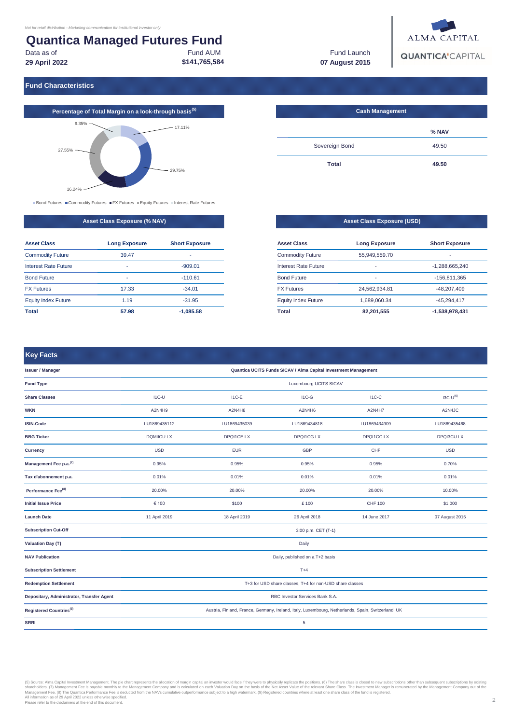### **Quantica Managed Futures Fund** Fund AUM Data as of

**\$141,765,584 29 April 2022**

Fund Launch **07 August 2015**



**Fund Characteristics**



■ Bond Futures ■ Commodity Futures ■ FX Futures ■ Equity Futures ■ Interest Rate Futures

|  | <b>Asset Class Exposure (% NAV)</b> |  |
|--|-------------------------------------|--|
|  |                                     |  |

| <b>Asset Class</b>         | <b>Long Exposure</b> | <b>Short Exposure</b> |
|----------------------------|----------------------|-----------------------|
| <b>Commodity Future</b>    | 39.47                |                       |
| Interest Rate Future       | -                    | $-909.01$             |
| <b>Bond Future</b>         | ۰                    | $-110.61$             |
| <b>FX Futures</b>          | 17.33                | $-34.01$              |
| <b>Equity Index Future</b> | 1.19                 | $-31.95$              |
| Total                      | 57.98                | $-1.085.58$           |

| <b>Cash Management</b> |       |
|------------------------|-------|
|                        | % NAV |
| Sovereign Bond         | 49.50 |
| <b>Total</b>           | 49.50 |

|                            | <b>Asset Class Exposure (USD)</b> |                       |
|----------------------------|-----------------------------------|-----------------------|
|                            |                                   |                       |
| <b>Asset Class</b>         | <b>Long Exposure</b>              | <b>Short Exposure</b> |
| <b>Commodity Future</b>    | 55.949.559.70                     |                       |
| Interest Rate Future       |                                   | $-1.288.665.240$      |
| <b>Bond Future</b>         |                                   | $-156.811.365$        |
| <b>FX Futures</b>          | 24,562,934.81                     | $-48.207.409$         |
| <b>Equity Index Future</b> | 1.689.060.34                      | -45.294.417           |
| Total                      | 82.201.555                        | $-1.538.978.431$      |

## **Key Facts**

| umak wundumananan                         |                                                                                                    |                   |                   |                |                |  |  |  |  |
|-------------------------------------------|----------------------------------------------------------------------------------------------------|-------------------|-------------------|----------------|----------------|--|--|--|--|
| <b>Issuer / Manager</b>                   | Quantica UCITS Funds SICAV / Alma Capital Investment Management                                    |                   |                   |                |                |  |  |  |  |
| <b>Fund Type</b>                          | Luxembourg UCITS SICAV                                                                             |                   |                   |                |                |  |  |  |  |
| <b>Share Classes</b>                      | $IC-U$                                                                                             | $I1C-E$           | $IC-G$            | $IC-C$         | $IGC-U^{(6)}$  |  |  |  |  |
| <b>WKN</b>                                | A2N4H9                                                                                             | A2N4H8            | A2N4H6            | A2N4H7         | A2N4JC         |  |  |  |  |
| <b>ISIN-Code</b>                          | LU1869435112                                                                                       | LU1869435039      | LU1869434818      | LU1869434909   | LU1869435468   |  |  |  |  |
| <b>BBG Ticker</b>                         | <b>DQMIICU LX</b>                                                                                  | <b>DPQI1CE LX</b> | <b>DPQI1CG LX</b> | DPQI1CC LX     | DPQI3CU LX     |  |  |  |  |
| Currency                                  | <b>USD</b>                                                                                         | <b>EUR</b>        | <b>GBP</b>        | CHF            | <b>USD</b>     |  |  |  |  |
| Management Fee p.a. $^{(7)}$              | 0.95%                                                                                              | 0.95%             | 0.95%             | 0.95%          | 0.70%          |  |  |  |  |
| Tax d'abonnement p.a.                     | 0.01%                                                                                              | 0.01%             | 0.01%             | 0.01%          | 0.01%          |  |  |  |  |
| Performance Fee <sup>(8)</sup>            | 20.00%                                                                                             | 20.00%            | 20.00%            | 20.00%         | 10.00%         |  |  |  |  |
| <b>Initial Issue Price</b>                | € 100                                                                                              | \$100             | £ 100             | <b>CHF 100</b> | \$1,000        |  |  |  |  |
| <b>Launch Date</b>                        | 11 April 2019                                                                                      | 18 April 2019     | 26 April 2018     | 14 June 2017   | 07 August 2015 |  |  |  |  |
| <b>Subscription Cut-Off</b>               | 3:00 p.m. CET (T-1)                                                                                |                   |                   |                |                |  |  |  |  |
| <b>Valuation Day (T)</b>                  |                                                                                                    |                   | Daily             |                |                |  |  |  |  |
| <b>NAV Publication</b>                    | Daily, published on a T+2 basis                                                                    |                   |                   |                |                |  |  |  |  |
| <b>Subscription Settlement</b>            |                                                                                                    |                   | $T+4$             |                |                |  |  |  |  |
| <b>Redemption Settlement</b>              | T+3 for USD share classes, T+4 for non-USD share classes                                           |                   |                   |                |                |  |  |  |  |
| Depositary, Administrator, Transfer Agent | RBC Investor Services Bank S.A.                                                                    |                   |                   |                |                |  |  |  |  |
| Registered Countries <sup>(9)</sup>       | Austria, Finland, France, Germany, Ireland, Italy, Luxembourg, Netherlands, Spain, Switzerland, UK |                   |                   |                |                |  |  |  |  |
| <b>SRRI</b>                               | 5                                                                                                  |                   |                   |                |                |  |  |  |  |

(5) Source: Alma Capital Investment Management. The pite chart represents the allocation of margin capital an investor would face if they were to physically repident of management. The pitar charge in the NAVs cumulative o